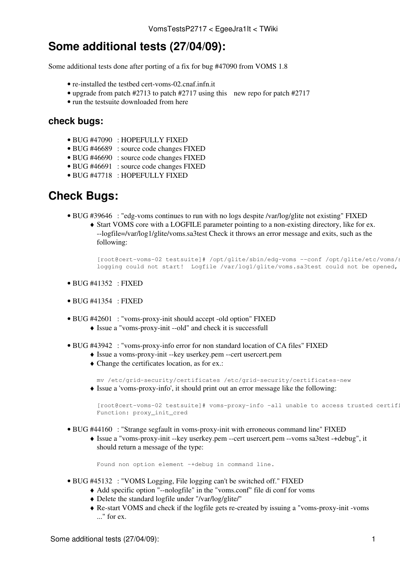## **Some additional tests (27/04/09):**

Some additional tests done after porting of a fix for bug #47090 from VOMS 1.8

- re-installed the testbed cert-voms-02.cnaf.infn.it
- upgrade from patch #2713 to patch #2717 using [this](http://etics1-repository.cern.ch:8080/repository/pm/registered/repomd/id/bc891c99-0b38-4f87-92db-992192c92072/slc4_ia32_gcc346/) new repo for patch #2717
- run the testsuite downloaded from [here](http://jra1mw.cvs.cern.ch:8180/cgi-bin/jra1mw.cgi/org.glite.security.voms/)

## **check bugs:**

- BUG [#47090](https://savannah.cern.ch/bugs/?func=detailitem&item_id=47090) : HOPEFULLY FIXED
- BUG [#46689](https://savannah.cern.ch/bugs/?func=detailitem&item_id=46689) : source code changes FIXED
- BUG [#46690](https://savannah.cern.ch/bugs/?func=detailitem&item_id=46690) : source code changes FIXED
- BUG [#46691](https://savannah.cern.ch/bugs/?func=detailitem&item_id=46691) : source code changes FIXED
- BUG [#47718](https://savannah.cern.ch/bugs/?func=detailitem&item_id=47718) : HOPEFULLY FIXED

## **Check Bugs:**

- BUG [#39646](https://savannah.cern.ch/bugs/?39646) : "edg-voms continues to run with no logs despite /var/log/glite not existing" FIXED
	- Start VOMS core with a LOGFILE parameter pointing to a non-existing directory, like for ex. ♦ --logfile=/var/log1/glite/voms.sa3test Check it throws an error message and exits, such as the following:

[root@cert-voms-02 testsuite]# /opt/glite/sbin/edg-voms --conf /opt/glite/etc/voms/s logging could not start! Logfile /var/log1/glite/voms.sa3test could not be opened,

- $\bullet$  BUG [#41352](https://savannah.cern.ch/bugs/?41352) : FIXED
- BUG [#41354](https://savannah.cern.ch/bugs/?41354) : FIXED
- BUG [#42601](https://savannah.cern.ch/bugs/?42601) : "voms-proxy-init should accept -old option" FIXED ♦ Issue a "voms-proxy-init --old" and check it is successfull
- BUG [#43942](https://savannah.cern.ch/bugs/?43942) : "voms-proxy-info error for non standard location of CA files" FIXED
	- ♦ Issue a voms-proxy-init --key userkey.pem --cert usercert.pem
	- Change the certificates location, as for ex.: ♦

mv /etc/grid-security/certificates /etc/grid-security/certificates-new Issue a 'voms-proxy-info', it should print out an error message like the following: ♦

[root@cert-voms-02 testsuite]# voms-proxy-info -all unable to access trusted certif: Function: proxy\_init\_cred

- BUG [#44160](https://savannah.cern.ch/bugs/?44160) : "Strange segfault in voms-proxy-init with erroneous command line" FIXED
	- Issue a "voms-proxy-init --key userkey.pem --cert usercert.pem --voms sa3test -+debug", it ♦ should return a message of the type:

Found non option element -+debug in command line.

- BUG [#45132](https://savannah.cern.ch/bugs/?45132) : "VOMS Logging, File logging can't be switched off." FIXED
	- ♦ Add specific option "--nologfile" in the "voms.conf" file di conf for voms
	- ♦ Delete the standard logfile under "/var/log/glite/"
	- Re-start VOMS and check if the logfile gets re-created by issuing a "voms-proxy-init -voms ♦ ..." for ex.